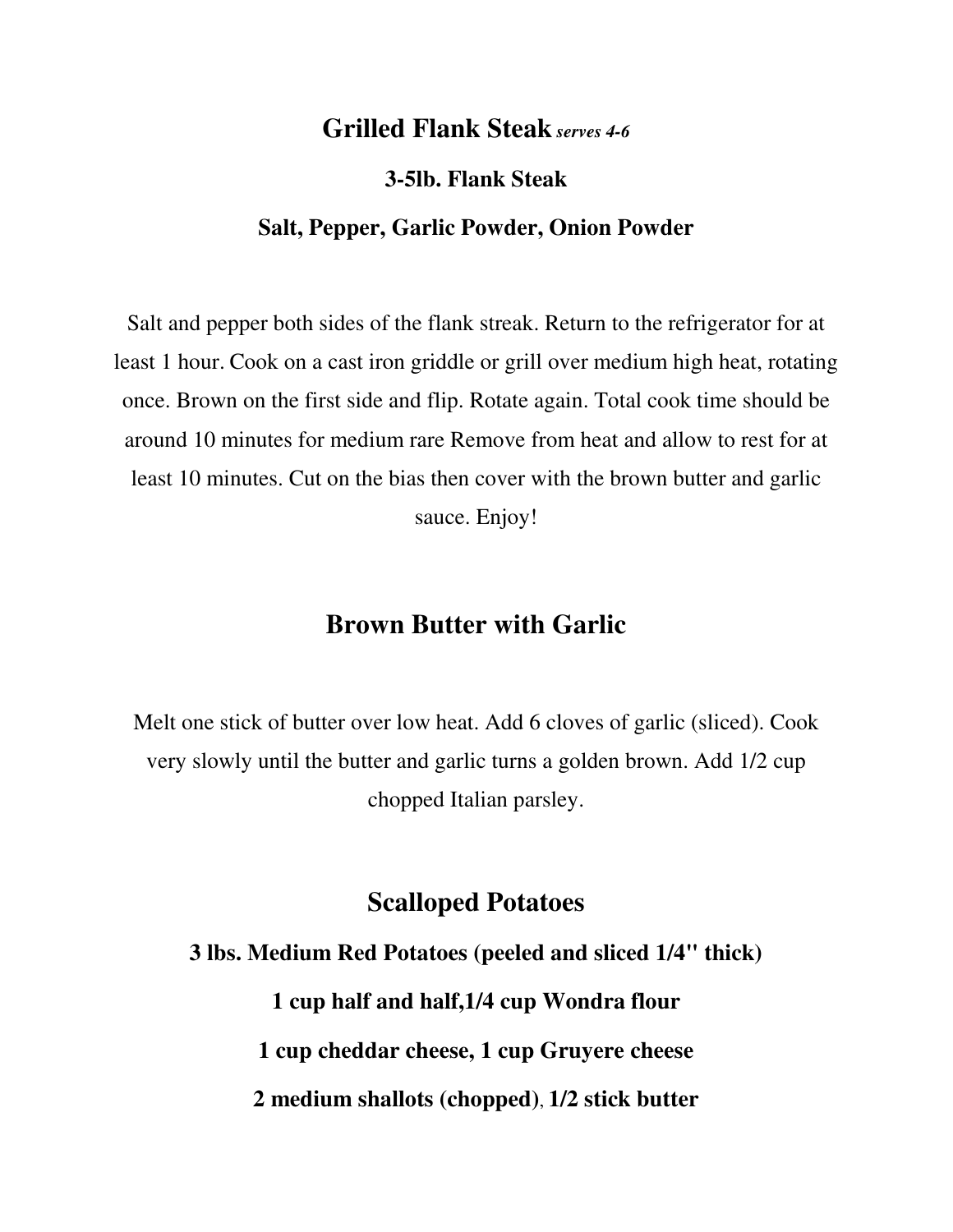### **Grilled Flank Steak** *serves 4-6*

**3-5lb. Flank Steak**

#### **Salt, Pepper, Garlic Powder, Onion Powder**

Salt and pepper both sides of the flank streak. Return to the refrigerator for at least 1 hour. Cook on a cast iron griddle or grill over medium high heat, rotating once. Brown on the first side and flip. Rotate again. Total cook time should be around 10 minutes for medium rare Remove from heat and allow to rest for at least 10 minutes. Cut on the bias then cover with the brown butter and garlic sauce. Enjoy!

# **Brown Butter with Garlic**

Melt one stick of butter over low heat. Add 6 cloves of garlic (sliced). Cook very slowly until the butter and garlic turns a golden brown. Add 1/2 cup chopped Italian parsley.

## **Scalloped Potatoes**

**3 lbs. Medium Red Potatoes (peeled and sliced 1/4" thick) 1 cup half and half,1/4 cup Wondra flour 1 cup cheddar cheese, 1 cup Gruyere cheese 2 medium shallots (chopped)**, **1/2 stick butter**